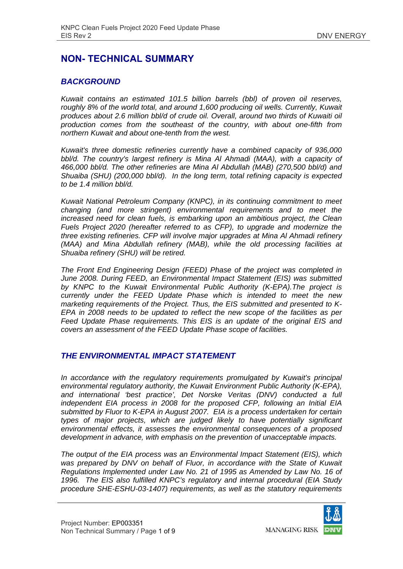# **NON- TECHNICAL SUMMARY**

## *BACKGROUND*

*Kuwait contains an estimated 101.5 billion barrels (bbl) of proven oil reserves, roughly 8% of the world total, and around 1,600 producing oil wells. Currently, Kuwait produces about 2.6 million bbl/d of crude oil. Overall, around two thirds of Kuwaiti oil production comes from the southeast of the country, with about one-fifth from northern Kuwait and about one-tenth from the west.* 

*Kuwait's three domestic refineries currently have a combined capacity of 936,000*  bbl/d. The country's largest refinery is Mina Al Ahmadi (MAA), with a capacity of *466,000 bbl/d. The other refineries are Mina Al Abdullah (MAB) (270,500 bbl/d) and Shuaiba (SHU) (200,000 bbl/d). In the long term, total refining capacity is expected to be 1.4 million bbl/d.* 

*Kuwait National Petroleum Company (KNPC), in its continuing commitment to meet changing (and more stringent) environmental requirements and to meet the increased need for clean fuels, is embarking upon an ambitious project, the Clean Fuels Project 2020 (hereafter referred to as CFP), to upgrade and modernize the three existing refineries. CFP will involve major upgrades at Mina Al Ahmadi refinery (MAA) and Mina Abdullah refinery (MAB), while the old processing facilities at Shuaiba refinery (SHU) will be retired.* 

*The Front End Engineering Design (FEED) Phase of the project was completed in June 2008. During FEED, an Environmental Impact Statement (EIS) was submitted by KNPC to the Kuwait Environmental Public Authority (K-EPA).The project is currently under the FEED Update Phase which is intended to meet the new marketing requirements of the Project. Thus, the EIS submitted and presented to K-EPA in 2008 needs to be updated to reflect the new scope of the facilities as per Feed Update Phase requirements. This EIS is an update of the original EIS and covers an assessment of the FEED Update Phase scope of facilities.* 

#### *THE ENVIRONMENTAL IMPACT STATEMENT*

*In accordance with the regulatory requirements promulgated by Kuwait's principal environmental regulatory authority, the Kuwait Environment Public Authority (K-EPA), and international 'best practice', Det Norske Veritas (DNV) conducted a full independent EIA process in 2008 for the proposed CFP, following an Initial EIA submitted by Fluor to K-EPA in August 2007. EIA is a process undertaken for certain types of major projects, which are judged likely to have potentially significant environmental effects, it assesses the environmental consequences of a proposed development in advance, with emphasis on the prevention of unacceptable impacts.* 

*The output of the EIA process was an Environmental Impact Statement (EIS), which*  was prepared by DNV on behalf of Fluor, in accordance with the State of Kuwait *Regulations Implemented under Law No. 21 of 1995 as Amended by Law No. 16 of 1996. The EIS also fulfilled KNPC's regulatory and internal procedural (EIA Study procedure SHE-ESHU-03-1407) requirements, as well as the statutory requirements* 

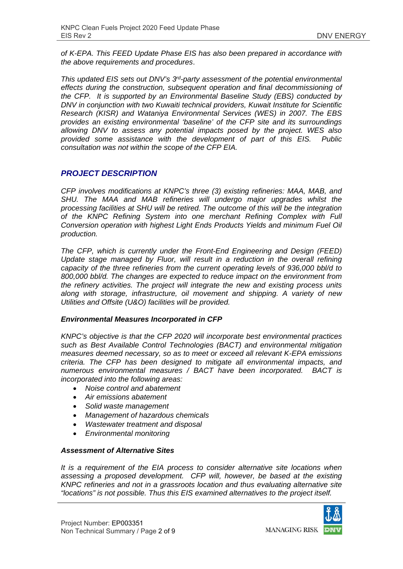*of K-EPA. This FEED Update Phase EIS has also been prepared in accordance with the above requirements and procedures*.

*This updated EIS sets out DNV's 3rd-party assessment of the potential environmental effects during the construction, subsequent operation and final decommissioning of the CFP. It is supported by an Environmental Baseline Study (EBS) conducted by DNV in conjunction with two Kuwaiti technical providers, Kuwait Institute for Scientific Research (KISR) and Wataniya Environmental Services (WES) in 2007. The EBS provides an existing environmental 'baseline' of the CFP site and its surroundings allowing DNV to assess any potential impacts posed by the project. WES also provided some assistance with the development of part of this EIS. Public consultation was not within the scope of the CFP EIA.*

### *PROJECT DESCRIPTION*

*CFP involves modifications at KNPC's three (3) existing refineries: MAA, MAB, and SHU. The MAA and MAB refineries will undergo major upgrades whilst the processing facilities at SHU will be retired. The outcome of this will be the integration of the KNPC Refining System into one merchant Refining Complex with Full Conversion operation with highest Light Ends Products Yields and minimum Fuel Oil production.* 

*The CFP, which is currently under the Front-End Engineering and Design (FEED)*  Update stage managed by Fluor, will result in a reduction in the overall refining *capacity of the three refineries from the current operating levels of 936,000 bbl/d to 800,000 bbl/d. The changes are expected to reduce impact on the environment from the refinery activities. The project will integrate the new and existing process units along with storage, infrastructure, oil movement and shipping. A variety of new Utilities and Offsite (U&O) facilities will be provided.* 

#### *Environmental Measures Incorporated in CFP*

*KNPC's objective is that the CFP 2020 will incorporate best environmental practices such as Best Available Control Technologies (BACT) and environmental mitigation measures deemed necessary, so as to meet or exceed all relevant K-EPA emissions criteria. The CFP has been designed to mitigate all environmental impacts, and numerous environmental measures / BACT have been incorporated. BACT is incorporated into the following areas:* 

- *Noise control and abatement*
- *Air emissions abatement*
- *Solid waste management*
- *Management of hazardous chemicals*
- *Wastewater treatment and disposal*
- *Environmental monitoring*

#### *Assessment of Alternative Sites*

*It is a requirement of the EIA process to consider alternative site locations when assessing a proposed development. CFP will, however, be based at the existing KNPC refineries and not in a grassroots location and thus evaluating alternative site "locations" is not possible. Thus this EIS examined alternatives to the project itself.*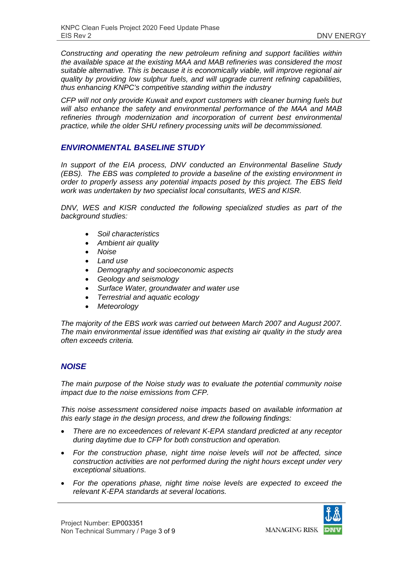*Constructing and operating the new petroleum refining and support facilities within the available space at the existing MAA and MAB refineries was considered the most suitable alternative. This is because it is economically viable, will improve regional air quality by providing low sulphur fuels, and will upgrade current refining capabilities, thus enhancing KNPC's competitive standing within the industry* 

*CFP will not only provide Kuwait and export customers with cleaner burning fuels but will also enhance the safety and environmental performance of the MAA and MAB refineries through modernization and incorporation of current best environmental practice, while the older SHU refinery processing units will be decommissioned.* 

### *ENVIRONMENTAL BASELINE STUDY*

*In support of the EIA process, DNV conducted an Environmental Baseline Study (EBS). The EBS was completed to provide a baseline of the existing environment in order to properly assess any potential impacts posed by this project. The EBS field work was undertaken by two specialist local consultants, WES and KISR.* 

*DNV, WES and KISR conducted the following specialized studies as part of the background studies:* 

- *Soil characteristics*
- *Ambient air quality*
- *Noise*
- *Land use*
- *Demography and socioeconomic aspects*
- *Geology and seismology*
- *Surface Water, groundwater and water use*
- *Terrestrial and aquatic ecology*
- *Meteorology*

*The majority of the EBS work was carried out between March 2007 and August 2007. The main environmental issue identified was that existing air quality in the study area often exceeds criteria.* 

### *NOISE*

*The main purpose of the Noise study was to evaluate the potential community noise impact due to the noise emissions from CFP.* 

*This noise assessment considered noise impacts based on available information at this early stage in the design process, and drew the following findings:* 

- *There are no exceedences of relevant K-EPA standard predicted at any receptor during daytime due to CFP for both construction and operation.*
- *For the construction phase, night time noise levels will not be affected, since construction activities are not performed during the night hours except under very exceptional situations.*
- *For the operations phase, night time noise levels are expected to exceed the relevant K-EPA standards at several locations.*

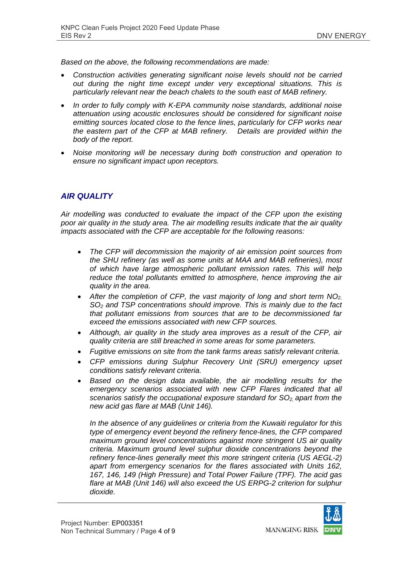*Based on the above, the following recommendations are made:* 

- *Construction activities generating significant noise levels should not be carried out during the night time except under very exceptional situations. This is particularly relevant near the beach chalets to the south east of MAB refinery.*
- *In order to fully comply with K-EPA community noise standards, additional noise attenuation using acoustic enclosures should be considered for significant noise emitting sources located close to the fence lines, particularly for CFP works near the eastern part of the CFP at MAB refinery. Details are provided within the body of the report.*
- *Noise monitoring will be necessary during both construction and operation to ensure no significant impact upon receptors.*

# *AIR QUALITY*

*Air modelling was conducted to evaluate the impact of the CFP upon the existing poor air quality in the study area. The air modelling results indicate that the air quality impacts associated with the CFP are acceptable for the following reasons:* 

- *The CFP will decommission the majority of air emission point sources from the SHU refinery (as well as some units at MAA and MAB refineries), most of which have large atmospheric pollutant emission rates. This will help reduce the total pollutants emitted to atmosphere, hence improving the air quality in the area.*
- *After the completion of CFP, the vast majority of long and short term NO2, SO2 and TSP concentrations should improve. This is mainly due to the fact that pollutant emissions from sources that are to be decommissioned far exceed the emissions associated with new CFP sources.*
- *Although, air quality in the study area improves as a result of the CFP, air quality criteria are still breached in some areas for some parameters.*
- *Fugitive emissions on site from the tank farms areas satisfy relevant criteria.*
- *CFP emissions during Sulphur Recovery Unit (SRU) emergency upset conditions satisfy relevant criteria.*
- *Based on the design data available, the air modelling results for the emergency scenarios associated with new CFP Flares indicated that all scenarios satisfy the occupational exposure standard for SO<sub>2</sub> apart from the new acid gas flare at MAB (Unit 146).*

*In the absence of any guidelines or criteria from the Kuwaiti regulator for this type of emergency event beyond the refinery fence-lines, the CFP compared maximum ground level concentrations against more stringent US air quality criteria. Maximum ground level sulphur dioxide concentrations beyond the refinery fence-lines generally meet this more stringent criteria (US AEGL-2) apart from emergency scenarios for the flares associated with Units 162, 167, 146, 149 (High Pressure) and Total Power Failure (TPF). The acid gas flare at MAB (Unit 146) will also exceed the US ERPG-2 criterion for sulphur dioxide.* 

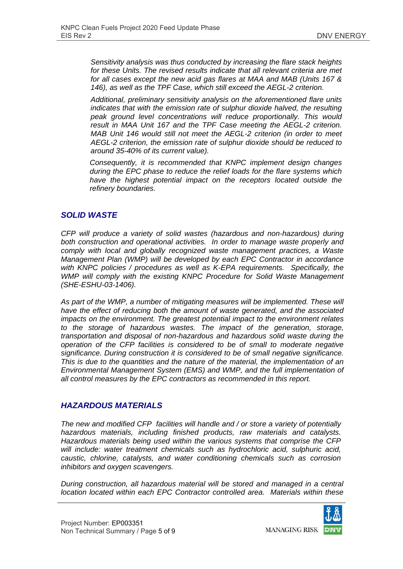*Sensitivity analysis was thus conducted by increasing the flare stack heights for these Units. The revised results indicate that all relevant criteria are met for all cases except the new acid gas flares at MAA and MAB (Units 167 & 146), as well as the TPF Case, which still exceed the AEGL-2 criterion.* 

*Additional, preliminary sensitivity analysis on the aforementioned flare units indicates that with the emission rate of sulphur dioxide halved, the resulting peak ground level concentrations will reduce proportionally. This would result in MAA Unit 167 and the TPF Case meeting the AEGL-2 criterion. MAB Unit 146 would still not meet the AEGL-2 criterion (in order to meet AEGL-2 criterion, the emission rate of sulphur dioxide should be reduced to around 35-40% of its current value).*

*Consequently, it is recommended that KNPC implement design changes during the EPC phase to reduce the relief loads for the flare systems which*  have the highest potential impact on the receptors located outside the *refinery boundaries.* 

### *SOLID WASTE*

*CFP will produce a variety of solid wastes (hazardous and non-hazardous) during both construction and operational activities. In order to manage waste properly and comply with local and globally recognized waste management practices, a Waste Management Plan (WMP) will be developed by each EPC Contractor in accordance with KNPC policies / procedures as well as K-EPA requirements. Specifically, the WMP will comply with the existing KNPC Procedure for Solid Waste Management (SHE-ESHU-03-1406).* 

As part of the WMP, a number of mitigating measures will be implemented. These will *have the effect of reducing both the amount of waste generated, and the associated impacts on the environment. The greatest potential impact to the environment relates to the storage of hazardous wastes. The impact of the generation, storage, transportation and disposal of non-hazardous and hazardous solid waste during the operation of the CFP facilities is considered to be of small to moderate negative significance. During construction it is considered to be of small negative significance. This is due to the quantities and the nature of the material, the implementation of an Environmental Management System (EMS) and WMP, and the full implementation of all control measures by the EPC contractors as recommended in this report.* 

#### *HAZARDOUS MATERIALS*

*The new and modified CFP facilities will handle and / or store a variety of potentially hazardous materials, including finished products, raw materials and catalysts. Hazardous materials being used within the various systems that comprise the CFP will include: water treatment chemicals such as hydrochloric acid, sulphuric acid, caustic, chlorine, catalysts, and water conditioning chemicals such as corrosion inhibitors and oxygen scavengers.* 

*During construction, all hazardous material will be stored and managed in a central location located within each EPC Contractor controlled area. Materials within these* 



**MANAGING RISK**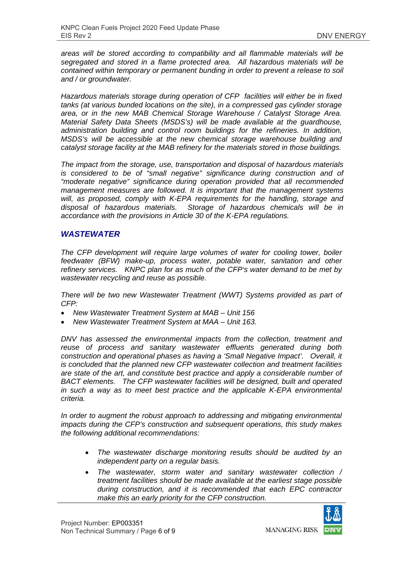*areas will be stored according to compatibility and all flammable materials will be segregated and stored in a flame protected area. All hazardous materials will be contained within temporary or permanent bunding in order to prevent a release to soil and / or groundwater.* 

*Hazardous materials storage during operation of CFP facilities will either be in fixed tanks (at various bunded locations on the site), in a compressed gas cylinder storage area, or in the new MAB Chemical Storage Warehouse / Catalyst Storage Area. Material Safety Data Sheets (MSDS's) will be made available at the guardhouse, administration building and control room buildings for the refineries. In addition, MSDS's will be accessible at the new chemical storage warehouse building and catalyst storage facility at the MAB refinery for the materials stored in those buildings.* 

*The impact from the storage, use, transportation and disposal of hazardous materials is considered to be of "small negative" significance during construction and of "moderate negative" significance during operation provided that all recommended management measures are followed. It is important that the management systems will, as proposed, comply with K-EPA requirements for the handling, storage and disposal of hazardous materials. Storage of hazardous chemicals will be in accordance with the provisions in Article 30 of the K-EPA regulations.* 

### *WASTEWATER*

*The CFP development will require large volumes of water for cooling tower, boiler feedwater (BFW) make-up, process water, potable water, sanitation and other refinery services. KNPC plan for as much of the CFP's water demand to be met by wastewater recycling and reuse as possible.* 

*There will be two new Wastewater Treatment (WWT) Systems provided as part of CFP:* 

- *New Wastewater Treatment System at MAB Unit 156*
- *New Wastewater Treatment System at MAA Unit 163.*

*DNV has assessed the environmental impacts from the collection, treatment and reuse of process and sanitary wastewater effluents generated during both construction and operational phases as having a 'Small Negative Impact'. Overall, it is concluded that the planned new CFP wastewater collection and treatment facilities are state of the art, and constitute best practice and apply a considerable number of BACT elements. The CFP wastewater facilities will be designed, built and operated in such a way as to meet best practice and the applicable K-EPA environmental criteria.* 

*In order to augment the robust approach to addressing and mitigating environmental impacts during the CFP's construction and subsequent operations, this study makes the following additional recommendations:* 

- *The wastewater discharge monitoring results should be audited by an independent party on a regular basis.*
- *The wastewater, storm water and sanitary wastewater collection / treatment facilities should be made available at the earliest stage possible during construction, and it is recommended that each EPC contractor make this an early priority for the CFP construction.*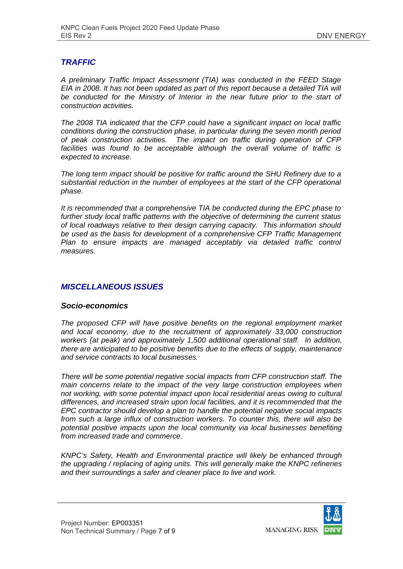### *TRAFFIC*

*A preliminary Traffic Impact Assessment (TIA) was conducted in the FEED Stage EIA in 2008. It has not been updated as part of this report because a detailed TIA will* be conducted for the Ministry of Interior in the near future prior to the start of *construction activities.* 

*The 2008 TIA indicated that the CFP could have a significant impact on local traffic conditions during the construction phase, in particular during the seven month period of peak construction activities. The impact on traffic during operation of CFP facilities was found to be acceptable although the overall volume of traffic is expected to increase.* 

*The long term impact should be positive for traffic around the SHU Refinery due to a substantial reduction in the number of employees at the start of the CFP operational phase.* 

*It is recommended that a comprehensive TIA be conducted during the EPC phase to further study local traffic patterns with the objective of determining the current status of local roadways relative to their design carrying capacity. This information should be used as the basis for development of a comprehensive CFP Traffic Management Plan to ensure impacts are managed acceptably via detailed traffic control measures.* 

## *MISCELLANEOUS ISSUES*

#### *Socio-economics*

*The proposed CFP will have positive benefits on the regional employment market and local economy, due to the recruitment of approximately 33,000 construction workers (at peak) and approximately 1,500 additional operational staff. In addition, there are anticipated to be positive benefits due to the effects of supply, maintenance and service contracts to local businesses.* 

*There will be some potential negative social impacts from CFP construction staff. The main concerns relate to the impact of the very large construction employees when not working, with some potential impact upon local residential areas owing to cultural differences, and increased strain upon local facilities, and it is recommended that the EPC contractor should develop a plan to handle the potential negative social impacts from such a large influx of construction workers. To counter this, there will also be potential positive impacts upon the local community via local businesses benefiting from increased trade and commerce.* 

*KNPC's Safety, Health and Environmental practice will likely be enhanced through the upgrading / replacing of aging units. This will generally make the KNPC refineries and their surroundings a safer and cleaner place to live and work.* 

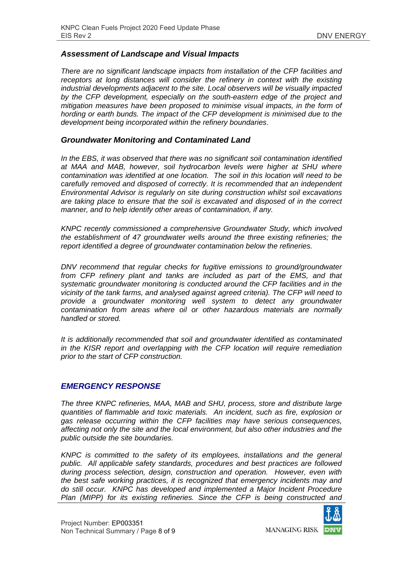#### *Assessment of Landscape and Visual Impacts*

*There are no significant landscape impacts from installation of the CFP facilities and receptors at long distances will consider the refinery in context with the existing industrial developments adjacent to the site. Local observers will be visually impacted by the CFP development, especially on the south-eastern edge of the project and mitigation measures have been proposed to minimise visual impacts, in the form of hording or earth bunds. The impact of the CFP development is minimised due to the development being incorporated within the refinery boundaries*.

#### *Groundwater Monitoring and Contaminated Land*

*In the EBS, it was observed that there was no significant soil contamination identified at MAA and MAB, however, soil hydrocarbon levels were higher at SHU where contamination was identified at one location. The soil in this location will need to be carefully removed and disposed of correctly. It is recommended that an independent Environmental Advisor is regularly on site during construction whilst soil excavations are taking place to ensure that the soil is excavated and disposed of in the correct manner, and to help identify other areas of contamination, if any.* 

*KNPC recently commissioned a comprehensive Groundwater Study, which involved the establishment of 47 groundwater wells around the three existing refineries; the report identified a degree of groundwater contamination below the refineries.* 

*DNV recommend that regular checks for fugitive emissions to ground/groundwater from CFP refinery plant and tanks are included as part of the EMS, and that systematic groundwater monitoring is conducted around the CFP facilities and in the vicinity of the tank farms, and analysed against agreed criteria). The CFP will need to provide a groundwater monitoring well system to detect any groundwater contamination from areas where oil or other hazardous materials are normally handled or stored.* 

*It is additionally recommended that soil and groundwater identified as contaminated in the KISR report and overlapping with the CFP location will require remediation prior to the start of CFP construction.* 

#### *EMERGENCY RESPONSE*

*The three KNPC refineries, MAA, MAB and SHU, process, store and distribute large quantities of flammable and toxic materials. An incident, such as fire, explosion or gas release occurring within the CFP facilities may have serious consequences, affecting not only the site and the local environment, but also other industries and the public outside the site boundaries.* 

*KNPC is committed to the safety of its employees, installations and the general public. All applicable safety standards, procedures and best practices are followed during process selection, design, construction and operation. However, even with the best safe working practices, it is recognized that emergency incidents may and do still occur. KNPC has developed and implemented a Major Incident Procedure Plan (MIPP) for its existing refineries. Since the CFP is being constructed and* 



**MANAGING RISK**